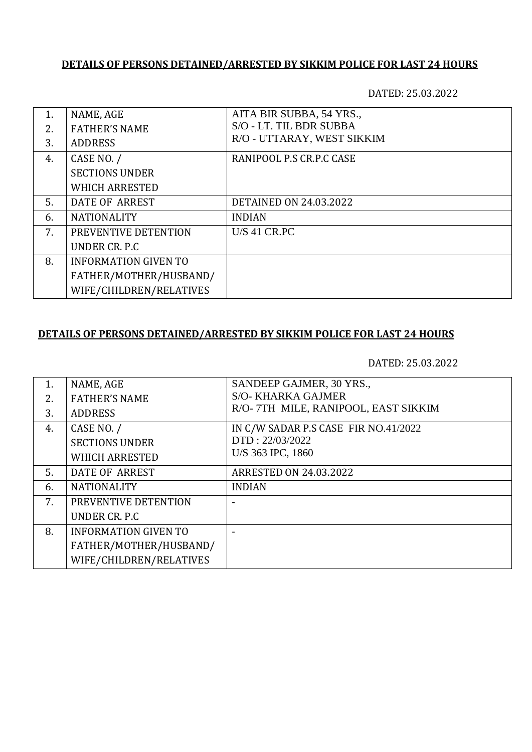DATED: 25.03.2022

| 1. | NAME, AGE                   | AITA BIR SUBBA, 54 YRS.,      |
|----|-----------------------------|-------------------------------|
| 2. | <b>FATHER'S NAME</b>        | S/O - LT. TIL BDR SUBBA       |
| 3. | <b>ADDRESS</b>              | R/O - UTTARAY, WEST SIKKIM    |
| 4. | CASE NO. /                  | RANIPOOL P.S CR.P.C CASE      |
|    | <b>SECTIONS UNDER</b>       |                               |
|    | <b>WHICH ARRESTED</b>       |                               |
| 5. | DATE OF ARREST              | <b>DETAINED ON 24.03.2022</b> |
| 6. | <b>NATIONALITY</b>          | <b>INDIAN</b>                 |
| 7. | PREVENTIVE DETENTION        | <b>U/S 41 CR.PC</b>           |
|    | UNDER CR. P.C.              |                               |
| 8. | <b>INFORMATION GIVEN TO</b> |                               |
|    | FATHER/MOTHER/HUSBAND/      |                               |
|    | WIFE/CHILDREN/RELATIVES     |                               |

## **DETAILS OF PERSONS DETAINED/ARRESTED BY SIKKIM POLICE FOR LAST 24 HOURS**

| 1. | NAME, AGE                   | SANDEEP GAJMER, 30 YRS.,             |
|----|-----------------------------|--------------------------------------|
| 2. | <b>FATHER'S NAME</b>        | <b>S/O- KHARKA GAJMER</b>            |
| 3. | <b>ADDRESS</b>              | R/O- 7TH MILE, RANIPOOL, EAST SIKKIM |
| 4. | CASE NO. /                  | IN C/W SADAR P.S CASE FIR NO.41/2022 |
|    | <b>SECTIONS UNDER</b>       | DTD: 22/03/2022                      |
|    | <b>WHICH ARRESTED</b>       | U/S 363 IPC, 1860                    |
| 5. | DATE OF ARREST              | <b>ARRESTED ON 24.03.2022</b>        |
| 6. | <b>NATIONALITY</b>          | <b>INDIAN</b>                        |
| 7. | PREVENTIVE DETENTION        |                                      |
|    | UNDER CR. P.C               |                                      |
| 8. | <b>INFORMATION GIVEN TO</b> |                                      |
|    | FATHER/MOTHER/HUSBAND/      |                                      |
|    | WIFE/CHILDREN/RELATIVES     |                                      |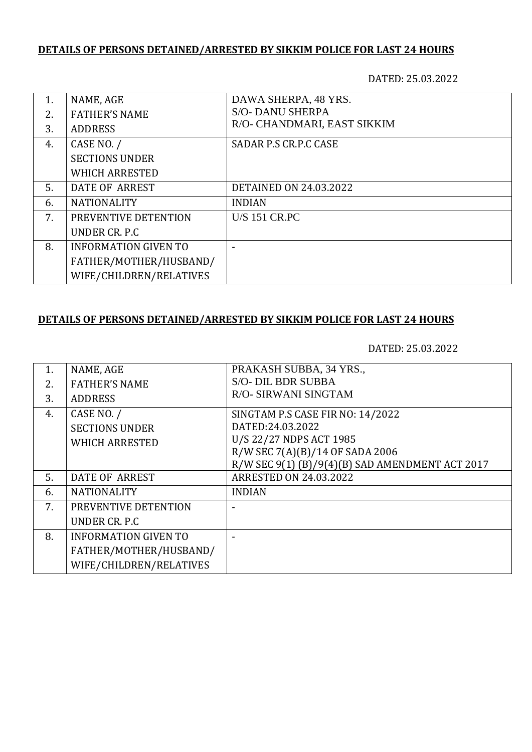DATED: 25.03.2022

| 1. | NAME, AGE                   | DAWA SHERPA, 48 YRS.          |
|----|-----------------------------|-------------------------------|
| 2. | <b>FATHER'S NAME</b>        | <b>S/O- DANU SHERPA</b>       |
| 3. | <b>ADDRESS</b>              | R/O- CHANDMARI, EAST SIKKIM   |
| 4. | CASE NO. /                  | SADAR P.S CR.P.C CASE         |
|    | <b>SECTIONS UNDER</b>       |                               |
|    | <b>WHICH ARRESTED</b>       |                               |
| 5. | DATE OF ARREST              | <b>DETAINED ON 24.03.2022</b> |
| 6. | <b>NATIONALITY</b>          | <b>INDIAN</b>                 |
| 7. | PREVENTIVE DETENTION        | <b>U/S 151 CR.PC</b>          |
|    | UNDER CR. P.C.              |                               |
| 8. | <b>INFORMATION GIVEN TO</b> |                               |
|    | FATHER/MOTHER/HUSBAND/      |                               |
|    | WIFE/CHILDREN/RELATIVES     |                               |

### **DETAILS OF PERSONS DETAINED/ARRESTED BY SIKKIM POLICE FOR LAST 24 HOURS**

| NAME, AGE                   | PRAKASH SUBBA, 34 YRS.,                         |
|-----------------------------|-------------------------------------------------|
| <b>FATHER'S NAME</b>        | <b>S/O- DIL BDR SUBBA</b>                       |
| <b>ADDRESS</b>              | R/O- SIRWANI SINGTAM                            |
| CASE NO. /                  | SINGTAM P.S CASE FIR NO: 14/2022                |
| <b>SECTIONS UNDER</b>       | DATED:24.03.2022                                |
|                             | U/S 22/27 NDPS ACT 1985                         |
|                             | R/W SEC 7(A)(B)/14 OF SADA 2006                 |
|                             | R/W SEC 9(1) (B)/9(4)(B) SAD AMENDMENT ACT 2017 |
| <b>DATE OF ARREST</b>       | <b>ARRESTED ON 24.03.2022</b>                   |
| <b>NATIONALITY</b>          | <b>INDIAN</b>                                   |
| PREVENTIVE DETENTION        |                                                 |
| UNDER CR. P.C.              |                                                 |
| <b>INFORMATION GIVEN TO</b> |                                                 |
| FATHER/MOTHER/HUSBAND/      |                                                 |
| WIFE/CHILDREN/RELATIVES     |                                                 |
|                             | <b>WHICH ARRESTED</b>                           |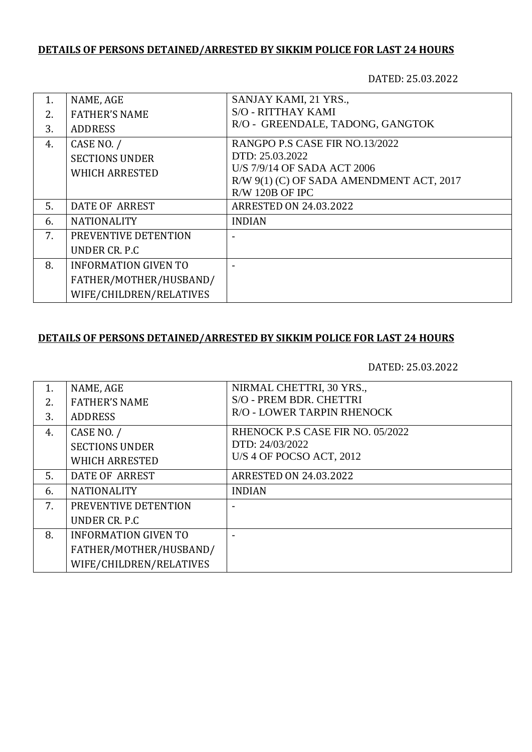DATED: 25.03.2022

| 1. | NAME, AGE                   | SANJAY KAMI, 21 YRS.,                    |
|----|-----------------------------|------------------------------------------|
| 2. | <b>FATHER'S NAME</b>        | <b>S/O - RITTHAY KAMI</b>                |
| 3. | <b>ADDRESS</b>              | R/O - GREENDALE, TADONG, GANGTOK         |
| 4. | CASE NO. /                  | RANGPO P.S CASE FIR NO.13/2022           |
|    | <b>SECTIONS UNDER</b>       | DTD: 25.03.2022                          |
|    | <b>WHICH ARRESTED</b>       | U/S 7/9/14 OF SADA ACT 2006              |
|    |                             | R/W 9(1) (C) OF SADA AMENDMENT ACT, 2017 |
|    |                             | R/W 120B OF IPC                          |
| 5. | DATE OF ARREST              | <b>ARRESTED ON 24.03.2022</b>            |
| 6. | <b>NATIONALITY</b>          | <b>INDIAN</b>                            |
| 7. | PREVENTIVE DETENTION        |                                          |
|    | UNDER CR. P.C               |                                          |
| 8. | <b>INFORMATION GIVEN TO</b> |                                          |
|    | FATHER/MOTHER/HUSBAND/      |                                          |
|    | WIFE/CHILDREN/RELATIVES     |                                          |

#### **DETAILS OF PERSONS DETAINED/ARRESTED BY SIKKIM POLICE FOR LAST 24 HOURS**

| $\mathbf{1}$ . | NAME, AGE                   | NIRMAL CHETTRI, 30 YRS.,         |
|----------------|-----------------------------|----------------------------------|
| 2.             | <b>FATHER'S NAME</b>        | S/O - PREM BDR. CHETTRI          |
| 3.             | <b>ADDRESS</b>              | R/O - LOWER TARPIN RHENOCK       |
| 4.             | CASE NO. /                  | RHENOCK P.S CASE FIR NO. 05/2022 |
|                | <b>SECTIONS UNDER</b>       | DTD: 24/03/2022                  |
|                | <b>WHICH ARRESTED</b>       | U/S 4 OF POCSO ACT, 2012         |
| 5.             | DATE OF ARREST              | <b>ARRESTED ON 24.03.2022</b>    |
| 6.             | <b>NATIONALITY</b>          | <b>INDIAN</b>                    |
| 7.             | PREVENTIVE DETENTION        |                                  |
|                | UNDER CR. P.C.              |                                  |
| 8.             | <b>INFORMATION GIVEN TO</b> |                                  |
|                | FATHER/MOTHER/HUSBAND/      |                                  |
|                | WIFE/CHILDREN/RELATIVES     |                                  |